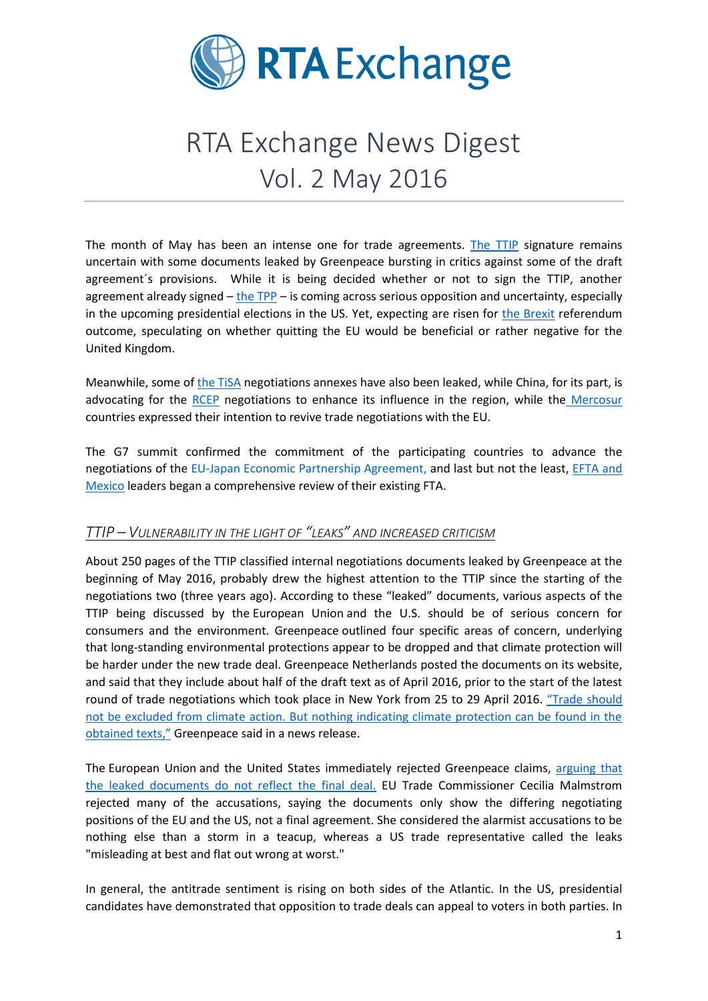

# RTA Exchange News Digest Vol. 2 May 2016

The month of May has been an intense one for trade agreements. [The TTIP](http://ec.europa.eu/trade/policy/in-focus/ttip/) signature remains uncertain with some documents leaked by Greenpeace bursting in critics against some of the draft agreement´s provisions. While it is being decided whether or not to sign the TTIP, another agreement already signed – [the TPP](https://ustr.gov/tpp/) – is coming across serious opposition and uncertainty, especially in the upcoming presidential elections in the US. Yet, expecting are risen for [the Brexit](http://www.economist.com/Brexit) referendum outcome, speculating on whether quitting the EU would be beneficial or rather negative for the United Kingdom.

Meanwhile, some of [the TiSA](http://ec.europa.eu/trade/policy/in-focus/tisa/) negotiations annexes have also been leaked, while China, for its part, is advocating for the [RCEP](http://dfat.gov.au/trade/agreements/rcep/pages/regional-comprehensive-economic-partnership.aspx) negotiations to enhance its influence in the region, while the [Mercosur](http://www.mercosur.int/) countries expressed their intention to revive trade negotiations with the EU.

The G7 summit confirmed the commitment of the participating countries to advance the negotiations of the [EU-Japan Economic Partnership Agreement,](http://www.mofa.go.jp/policy/economy/page6e_000013.html) and last but not the least, [EFTA and](http://www.efta.int/free-trade/free-trade-agreements/mexico)  [Mexico](http://www.efta.int/free-trade/free-trade-agreements/mexico) leaders began a comprehensive review of their existing FTA.

## *TTIP – VULNERABILITY IN THE LIGHT OF "LEAKS" AND INCREASED CRITICISM*

About 250 pages of the TTIP classified internal negotiations documents leaked by Greenpeace at the beginning of May 2016, probably drew the highest attention to the TTIP since the starting of the negotiations two (three years ago). According to these "leaked" documents, various aspects of the TTIP being discussed by the European Union and the U.S. should be of serious concern for consumers and the environment. Greenpeace outlined four specific areas of concern, underlying that long-standing environmental protections appear to be dropped and that climate protection will be harder under the new trade deal. Greenpeace Netherlands posted the documents on its website, and said that they include about half of the draft text as of April 2016, prior to the start of the latest round of trade negotiations which took place in New York from 25 to 29 April 2016. ["Trade shoul](http://www.wsj.com/articles/greenpeace-says-draft-eu-u-s-trade-pact-raises-serious-concerns-1462206366)d [not be excluded from climate action. But nothing indicating climate protection can be found in the](http://www.wsj.com/articles/greenpeace-says-draft-eu-u-s-trade-pact-raises-serious-concerns-1462206366)  [obtained texts,"](http://www.wsj.com/articles/greenpeace-says-draft-eu-u-s-trade-pact-raises-serious-concerns-1462206366) Greenpeace said in a news release.

The European Union and the United States immediately rejected Greenpeace claims, [arguing that](https://about.hr/news/europe/eu-us-play-down-ttip-leaks-insist-trade-deal-wont-lower-standards-19973)  [the leaked documents do not reflect the final deal.](https://about.hr/news/europe/eu-us-play-down-ttip-leaks-insist-trade-deal-wont-lower-standards-19973) EU Trade Commissioner Cecilia Malmstrom rejected many of the accusations, saying the documents only show the differing negotiating positions of the EU and the US, not a final agreement. She considered the alarmist accusations to be nothing else than a storm in a teacup, whereas a US trade representative called the leaks "misleading at best and flat out wrong at worst."

In general, the antitrade sentiment is rising on both sides of the Atlantic. In the US, presidential candidates have demonstrated that opposition to trade deals can appeal to voters in both parties. In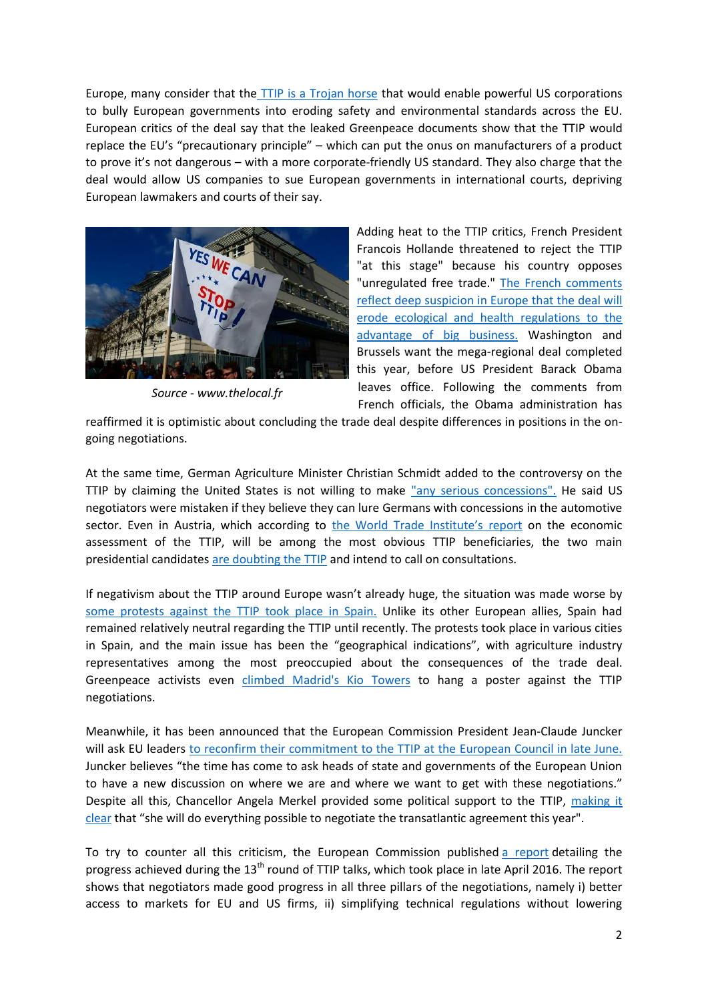Europe, many consider that the [TTIP is a Trojan horse](http://time.com/4319133/new-trade-deal/?iid=toc_050516) that would enable powerful US corporations to bully European governments into eroding safety and environmental standards across the EU. European critics of the deal say that the leaked Greenpeace documents show that the TTIP would replace the EU's "precautionary principle" – which can put the onus on manufacturers of a product to prove it's not dangerous – with a more corporate-friendly US standard. They also charge that the deal would allow US companies to sue European governments in international courts, depriving European lawmakers and courts of their say.



*Source - www.thelocal.fr*

Adding heat to the TTIP critics, French President Francois Hollande threatened to reject the TTIP "at this stage" because his country opposes "unregulated free trade." [The French comments](http://www.thelocal.fr/20160504/united-states-france-ttip-stubbornness-could-end-eu-trade-deal-says-france)  [reflect deep suspicion in Europe that the deal will](http://www.thelocal.fr/20160504/united-states-france-ttip-stubbornness-could-end-eu-trade-deal-says-france)  [erode ecological and health regulations to the](http://www.thelocal.fr/20160504/united-states-france-ttip-stubbornness-could-end-eu-trade-deal-says-france)  [advantage of big business.](http://www.thelocal.fr/20160504/united-states-france-ttip-stubbornness-could-end-eu-trade-deal-says-france) Washington and Brussels want the mega-regional deal completed this year, before US President Barack Obama leaves office. Following the comments from French officials, the Obama administration has

reaffirmed it is optimistic about concluding the trade deal despite differences in positions in the ongoing negotiations.

At the same time, German Agriculture Minister Christian Schmidt added to the controversy on the TTIP by claiming the United States is not willing to make ["any serious concessions".](http://www.independent.co.uk/news/world/europe/ttip-trade-deal-under-threat-due-after-germany-claims-us-not-making-any-serious-concessions-a7019291.html) He said US negotiators were mistaken if they believe they can lure Germans with concessions in the automotive sector. Even in Austria, which according to [the World Trade Institute's report](http://wti.org/media/filer_public/03/b8/03b803d4-e200-4841-9c58-f6612f4a7316/ttip_report_def.pdf) on the economic assessment of the TTIP, will be among the most obvious TTIP beneficiaries, the two main presidential candidate[s are doubting the TTIP](http://internacional.elpais.com/internacional/2016/05/07/actualidad/1462649199_666163.html) and intend to call on consultations.

If negativism about the TTIP around Europe wasn't already huge, the situation was made worse by [some protests against the TTIP took place in Spain.](http://politica.elpais.com/politica/2016/05/15/actualidad/1463343025_306049.html) Unlike its other European allies, Spain had remained relatively neutral regarding the TTIP until recently. The protests took place in various cities in Spain, and the main issue has been the "geographical indications", with agriculture industry representatives among the most preoccupied about the consequences of the trade deal. Greenpeace activists even [climbed Madrid's Kio Towers](http://www.reuters.com/video/2016/05/18/activists-climb-madrid-tower-in-trade-pa?videoId=368540021) to hang a poster against the TTIP negotiations.

Meanwhile, it has been announced that the European Commission President Jean-Claude Juncker will ask EU leaders [to reconfirm their commitment to the TTIP at the](http://www.politico.eu/article/juncker-to-ask-eu-leaders-to-reconfirm-ttip-mandate-at-june-council/) European Council in late June. Juncker believes "the time has come to ask heads of state and governments of the European Union to have a new discussion on where we are and where we want to get with these negotiations." Despite all this, Chancellor Angela Merkel provided some political support to the TTIP, [making it](http://uk.reuters.com/article/uk-trade-ttip-merkel-idUKKCN0XV2FO)  [clear](http://uk.reuters.com/article/uk-trade-ttip-merkel-idUKKCN0XV2FO) that "she will do everything possible to negotiate the transatlantic agreement this year".

To try to counter all this criticism, the European Commission published [a report](http://trade.ec.europa.eu/doclib/html/154581.htm) detailing the progress achieved during the 13<sup>th</sup> round of TTIP talks, which took place in late April 2016. The report shows that negotiators made good progress in all three pillars of the negotiations, namely i) better access to markets for EU and US firms, ii) simplifying technical regulations without lowering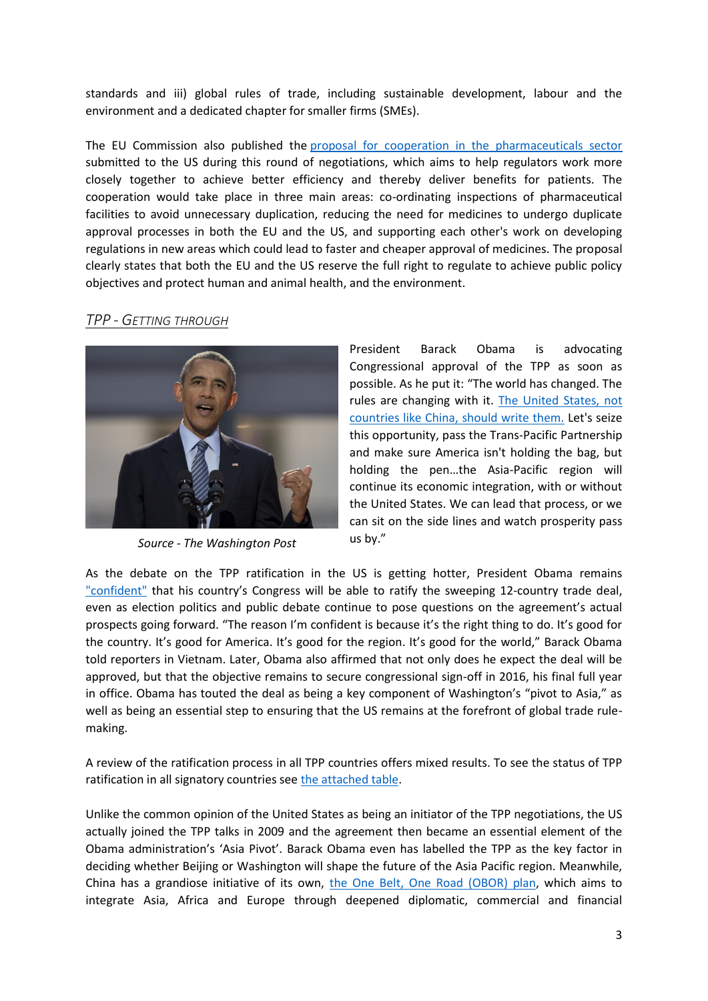standards and iii) global rules of trade, including sustainable development, labour and the environment and a dedicated chapter for smaller firms (SMEs).

The EU Commission also published the [proposal for cooperation in the pharmaceuticals sector](http://trade.ec.europa.eu/doclib/html/154582.htm) submitted to the US during this round of negotiations, which aims to help regulators work more closely together to achieve better efficiency and thereby deliver benefits for patients. The cooperation would take place in three main areas: co-ordinating inspections of pharmaceutical facilities to avoid unnecessary duplication, reducing the need for medicines to undergo duplicate approval processes in both the EU and the US, and supporting each other's work on developing regulations in new areas which could lead to faster and cheaper approval of medicines. The proposal clearly states that both the EU and the US reserve the full right to regulate to achieve public policy objectives and protect human and animal health, and the environment.

### *TPP - GETTING THROUGH*



*Source - The Washington Post*

President Barack Obama is advocating Congressional approval of the TPP as soon as possible. As he put it: "The world has changed. The rules are changing with it. [The United States, not](https://www.washingtonpost.com/opinions/president-obama-the-tpp-would-let-america-not-china-lead-the-way-on-global-trade/2016/05/02/680540e4-0fd0-11e6-93ae-50921721165d_story.html)  [countries like China, should write them.](https://www.washingtonpost.com/opinions/president-obama-the-tpp-would-let-america-not-china-lead-the-way-on-global-trade/2016/05/02/680540e4-0fd0-11e6-93ae-50921721165d_story.html) Let's seize this opportunity, pass the Trans-Pacific Partnership and make sure America isn't holding the bag, but holding the pen…the Asia-Pacific region will continue its economic integration, with or without the United States. We can lead that process, or we can sit on the side lines and watch prosperity pass us by."

As the debate on the TPP ratification in the US is getting hotter, President Obama remains ["confident"](http://www.ictsd.org/bridges-news/bridges/news/obama-confident-of-tpp-passage-touting-trade-benefits-during-asia-trip) that his country's Congress will be able to ratify the sweeping 12-country trade deal, even as election politics and public debate continue to pose questions on the agreement's actual prospects going forward. "The reason I'm confident is because it's the right thing to do. It's good for the country. It's good for America. It's good for the region. It's good for the world," Barack Obama told reporters in Vietnam. Later, Obama also affirmed that not only does he expect the deal will be approved, but that the objective remains to secure congressional sign-off in 2016, his final full year in office. Obama has touted the deal as being a key component of Washington's "pivot to Asia," as well as being an essential step to ensuring that the US remains at the forefront of global trade rulemaking.

A review of the ratification process in all TPP countries offers mixed results. To see the status of TPP ratification in all signatory countries see [the attached table.](https://dl.dropboxusercontent.com/u/98095642/RTA%20Exchange%20News%20Digest%20Vol.%202%20May%202016_ANNEX%20I.pdf)

Unlike the common opinion of the United States as being an initiator of the TPP negotiations, the US actually joined the TPP talks in 2009 and the agreement then became an essential element of the Obama administration's 'Asia Pivot'. Barack Obama even has labelled the TPP as the key factor in deciding whether Beijing or Washington will shape the future of the Asia Pacific region. Meanwhile, China has a grandiose initiative of its own, [the One Belt, One Road \(OBOR\) plan,](http://www.eastasiaforum.org/2016/04/26/when-the-tpp-and-one-belt-one-road-meet/?utm_source=newsletter&utm_medium=email&utm_campaign=newsletter2016-05-02) which aims to integrate Asia, Africa and Europe through deepened diplomatic, commercial and financial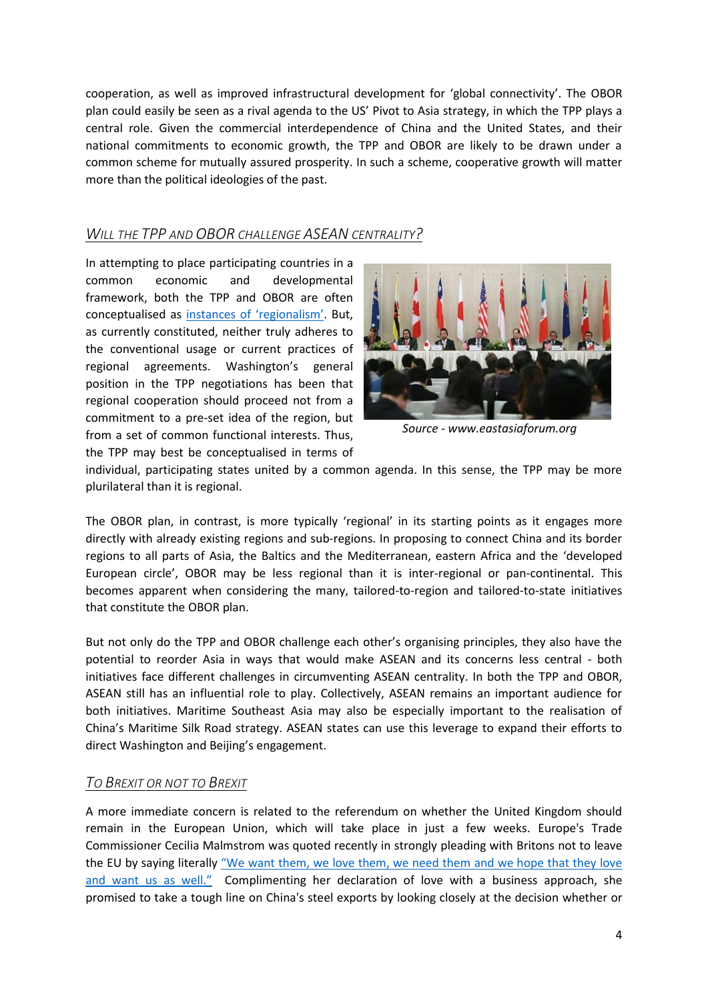cooperation, as well as improved infrastructural development for 'global connectivity'. The OBOR plan could easily be seen as a rival agenda to the US' Pivot to Asia strategy, in which the TPP plays a central role. Given the commercial interdependence of China and the United States, and their national commitments to economic growth, the TPP and OBOR are likely to be drawn under a common scheme for mutually assured prosperity. In such a scheme, cooperative growth will matter more than the political ideologies of the past.

## *WILL THE TPP AND OBOR CHALLENGE ASEAN CENTRALITY?*

In attempting to place participating countries in a common economic and developmental framework, both the TPP and OBOR are often conceptualised as [instances of 'regionalism'](http://www.eastasiaforum.org/2016/05/20/will-the-tpp-and-obor-challenge-asean-). But, as currently constituted, neither truly adheres to the conventional usage or current practices of regional agreements. Washington's general position in the TPP negotiations has been that regional cooperation should proceed not from a commitment to a pre-set idea of the region, but from a set of common functional interests. Thus, the TPP may best be conceptualised in terms of



*Source - www.eastasiaforum.org*

individual, participating states united by a common agenda. In this sense, the TPP may be more plurilateral than it is regional.

The OBOR plan, in contrast, is more typically 'regional' in its starting points as it engages more directly with already existing regions and sub-regions. In proposing to connect China and its border regions to all parts of Asia, the Baltics and the Mediterranean, eastern Africa and the 'developed European circle', OBOR may be less regional than it is inter-regional or pan-continental. This becomes apparent when considering the many, tailored-to-region and tailored-to-state initiatives that constitute the OBOR plan.

But not only do the TPP and OBOR challenge each other's organising principles, they also have the potential to reorder Asia in ways that would make ASEAN and its concerns less central - both initiatives face different challenges in circumventing ASEAN centrality. In both the TPP and OBOR, ASEAN still has an influential role to play. Collectively, ASEAN remains an important audience for both initiatives. Maritime Southeast Asia may also be especially important to the realisation of China's Maritime Silk Road strategy. ASEAN states can use this leverage to expand their efforts to direct Washington and Beijing's engagement.

## *TO BREXIT OR NOT TO BREXIT*

A more immediate concern is related to the referendum on whether the United Kingdom should remain in the European Union, which will take place in just a few weeks. Europe's Trade Commissioner Cecilia Malmstrom was quoted recently in strongly pleading with Britons not to leave the EU by saying literally ["We want them, we love them, we need them](http://www.reuters.com/article/us-trade-europe-malmstrom-idUSKCN0XT1MB) and we hope that they love [and want us as well](http://www.reuters.com/article/us-trade-europe-malmstrom-idUSKCN0XT1MB)." Complimenting her declaration of love with a business approach, she promised to take a tough line on China's steel exports by looking closely at the decision whether or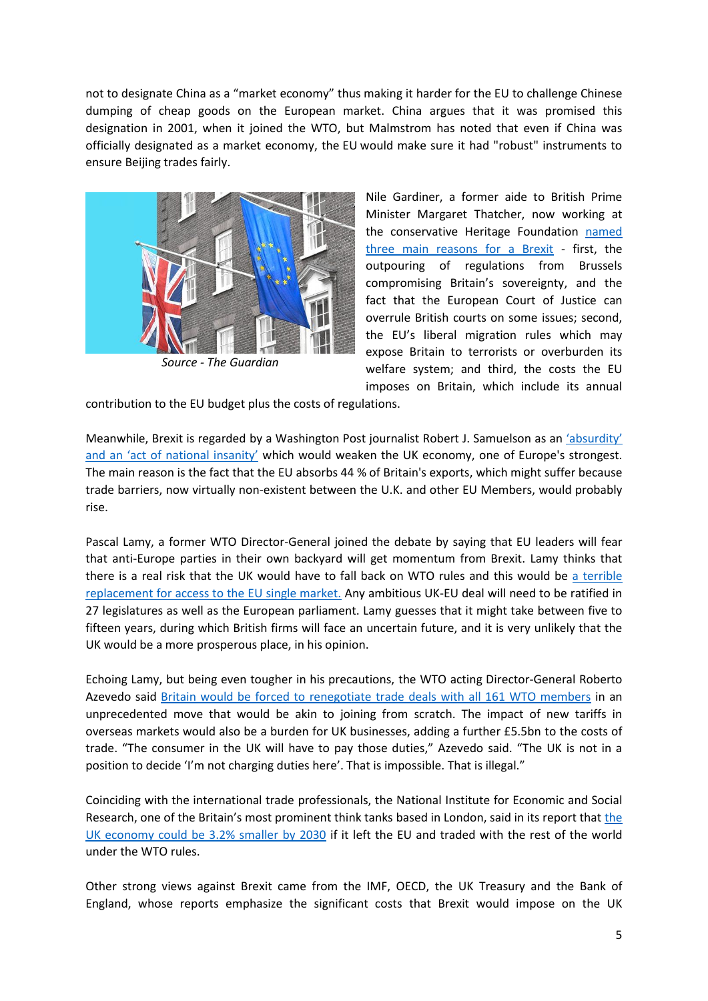not to designate China as a "market economy" thus making it harder for the EU to challenge Chinese dumping of cheap goods on the European market. China argues that it was promised this designation in 2001, when it joined the WTO, but Malmstrom has noted that even if China was officially designated as a market economy, the EU would make sure it had "robust" instruments to ensure Beijing trades fairly.



*Source - The Guardian*

Nile Gardiner, a former aide to British Prime Minister Margaret Thatcher, now working at the conservative Heritage Foundation [named](https://www.washingtonpost.com/opinions/britain-flirts-with-economic-insanity/2016/05/01/bb8d7a4a-0e1f-11e6-bfa1-4efa856caf2a_story.html)  [three main reasons for a Brexit](https://www.washingtonpost.com/opinions/britain-flirts-with-economic-insanity/2016/05/01/bb8d7a4a-0e1f-11e6-bfa1-4efa856caf2a_story.html) - first, the outpouring of regulations from Brussels compromising Britain's sovereignty, and the fact that the European Court of Justice can overrule British courts on some issues; second, the EU's liberal migration rules which may expose Britain to terrorists or overburden its welfare system; and third, the costs the EU imposes on Britain, which include its annual

contribution to the EU budget plus the costs of regulations.

Meanwhile, Brexit is regarded by a Washington Post journalist Robert J. Samuelson as an ['absurdity'](https://www.washingtonpost.com/opinions/britain-flirts-with-economic-insanity/2016/05/01/bb8d7a4a-0e1f-11e6-bfa1-4efa856caf2a_story.html)  [and an 'act of national insanity'](https://www.washingtonpost.com/opinions/britain-flirts-with-economic-insanity/2016/05/01/bb8d7a4a-0e1f-11e6-bfa1-4efa856caf2a_story.html) which would weaken the UK economy, one of Europe's strongest. The main reason is the fact that the EU absorbs 44 % of Britain's exports, which might suffer because trade barriers, now virtually non-existent between the U.K. and other EU Members, would probably rise.

Pascal Lamy, a former WTO Director-General joined the debate by saying that EU leaders will fear that anti-Europe parties in their own backyard will get momentum from Brexit. Lamy thinks that there is a real risk that the UK would have to fall back on WTO rules and this would be [a terrible](http://www.dailymail.co.uk/news/article-3570820/The-French-destroy-Brexit-vote-referendum-warns-former-trade-chief.html)  [replacement for access to the EU single market.](http://www.dailymail.co.uk/news/article-3570820/The-French-destroy-Brexit-vote-referendum-warns-former-trade-chief.html) Any ambitious UK-EU deal will need to be ratified in 27 legislatures as well as the European parliament. Lamy guesses that it might take between five to fifteen years, during which British firms will face an uncertain future, and it is very unlikely that the UK would be a more prosperous place, in his opinion.

Echoing Lamy, but being even tougher in his precautions, the WTO acting Director-General Roberto Azevedo said **Britain would be forced to renegotiate trade deals with all 161 WTO members in an** unprecedented move that would be akin to joining from scratch. The impact of new tariffs in overseas markets would also be a burden for UK businesses, adding a further £5.5bn to the costs of trade. "The consumer in the UK will have to pay those duties," Azevedo said. "The UK is not in a position to decide 'I'm not charging duties here'. That is impossible. That is illegal."

Coinciding with the international trade professionals, the National Institute for Economic and Social Research, one of the Britain's most prominent think tanks based in London, said in its report that [the](http://www.wsj.com/articles/brexit-would-make-u-k-economy-3-2-smaller-by-2030-says-think-tank-1462876109)  [UK economy could be 3.2% smaller](http://www.wsj.com/articles/brexit-would-make-u-k-economy-3-2-smaller-by-2030-says-think-tank-1462876109) by 2030 if it left the EU and traded with the rest of the world under the WTO rules.

Other strong views against Brexit came from the IMF, OECD, the UK Treasury and the Bank of England, whose reports emphasize the significant costs that Brexit would impose on the UK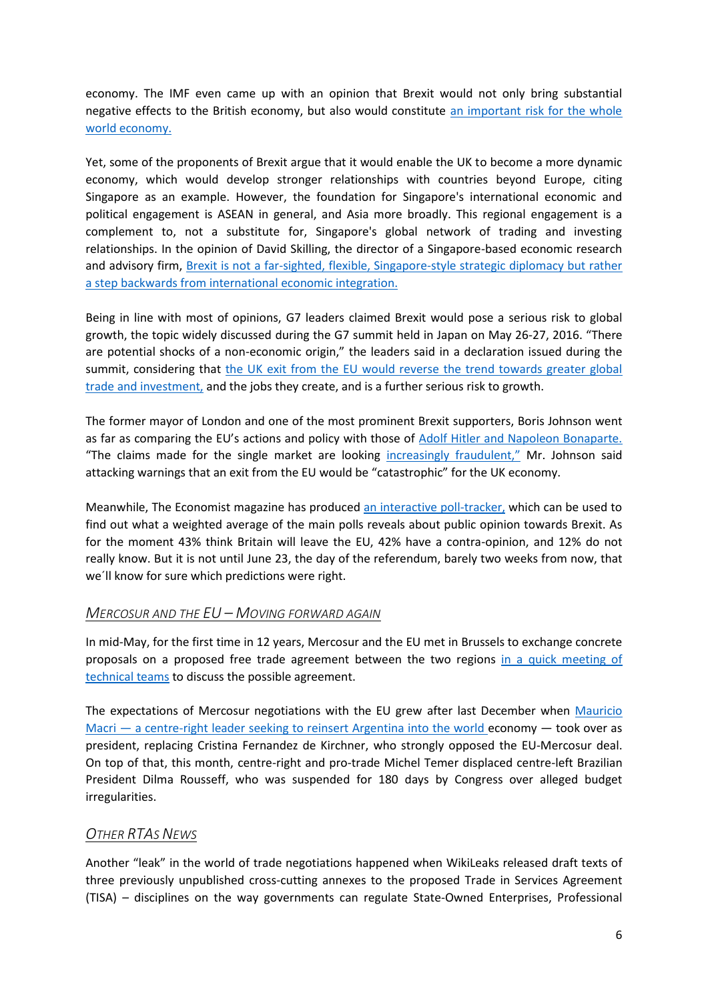economy. The IMF even came up with an opinion that Brexit would not only bring substantial negative effects to the British economy, but also would constitute [an important risk for the whole](http://internacional.elpais.com/internacional/2016/05/13/actualidad/1463132500_931188.html)  [world economy.](http://internacional.elpais.com/internacional/2016/05/13/actualidad/1463132500_931188.html)

Yet, some of the proponents of Brexit argue that it would enable the UK to become a more dynamic economy, which would develop stronger relationships with countries beyond Europe, citing Singapore as an example. However, the foundation for Singapore's international economic and political engagement is ASEAN in general, and Asia more broadly. This regional engagement is a complement to, not a substitute for, Singapore's global network of trading and investing relationships. In the opinion of David Skilling, the director of a Singapore-based economic research and advisory firm, [Brexit is not a far-sighted, flexible, Singapore-style strategic diplomacy but rather](http://www.straitstimes.com/opinion/brexit-will-not-make-britain-the-singapore-of-europe)  [a step backwards from international economic integration.](http://www.straitstimes.com/opinion/brexit-will-not-make-britain-the-singapore-of-europe)

Being in line with most of opinions, G7 leaders claimed Brexit would pose a serious risk to global growth, the topic widely discussed during the G7 summit held in Japan on May 26-27, 2016. "There are potential shocks of a non-economic origin," the leaders said in a declaration issued during the summit, considering that the UK exit from the EU would reverse the trend towards greater global [trade and investment,](http://www.ft.com/intl/cms/s/0/653d5d02-23b1-11e6-9d4d-c11776a5124d.html#axzz4B7JdYAoO) and the jobs they create, and is a further serious risk to growth.

The former mayor of London and one of the most prominent Brexit supporters, Boris Johnson went as far as comparing the EU's actions and policy with those of [Adolf Hitler and Napoleon Bonaparte.](http://internacional.elpais.com/internacional/2016/05/15/actualidad/1463302370_486407.html) "The claims made for the single market are looking [increasingly fraudulent,"](http://www.ft.com/intl/cms/s/0/1688d0e4-15ef-11e6-b197-a4af20d5575e.html#axzz4B7JdYAoO) Mr. Johnson said attacking warnings that an exit from the EU would be "catastrophic" for the UK economy.

Meanwhile, The Economist magazine has produced [an interactive poll-tracker,](http://www.economist.com/blogs/graphicdetail/2016/06/britain-s-eu-referendum?cid1=cust%2Fnoenew%2Fn%2Fn%2Fn%2F20160523n%2Fowned%2Fn%2Fn%2Fnwl%2Fn%2Fn%2FE%2Femail) which can be used to find out what a weighted average of the main polls reveals about public opinion towards Brexit. As for the moment 43% think Britain will leave the EU, 42% have a contra-opinion, and 12% do not really know. But it is not until June 23, the day of the referendum, barely two weeks from now, that we´ll know for sure which predictions were right.

## *MERCOSUR AND THE EU – MOVING FORWARD AGAIN*

In mid-May, for the first time in 12 years, Mercosur and the EU met in Brussels to exchange concrete proposals on a proposed free trade agreement between the two regions [in a quick meeting of](http://www.valor.com.br/international/news/4555069/mercosur-and-eu-finally-exchange-offers-open-their-markets?print=1?print=1)  [technical teams](http://www.valor.com.br/international/news/4555069/mercosur-and-eu-finally-exchange-offers-open-their-markets?print=1?print=1) to discuss the possible agreement.

The expectations of Mercosur negotiations with the EU grew after last December when [Mauricio](http://www.buenosairesherald.com/article/214794/mercosur-pundits-split-over-deal-with-eu)  Macri — [a centre-right leader seeking to reinsert Argentina into the world](http://www.buenosairesherald.com/article/214794/mercosur-pundits-split-over-deal-with-eu) economy — took over as president, replacing Cristina Fernandez de Kirchner, who strongly opposed the EU-Mercosur deal. On top of that, this month, centre-right and pro-trade Michel Temer displaced centre-left Brazilian President Dilma Rousseff, who was suspended for 180 days by Congress over alleged budget irregularities.

#### *OTHER RTAS NEWS*

Another "leak" in the world of trade negotiations happened when WikiLeaks released draft texts of three previously unpublished cross-cutting annexes to the proposed Trade in Services Agreement (TISA) – disciplines on the way governments can regulate State-Owned Enterprises, Professional